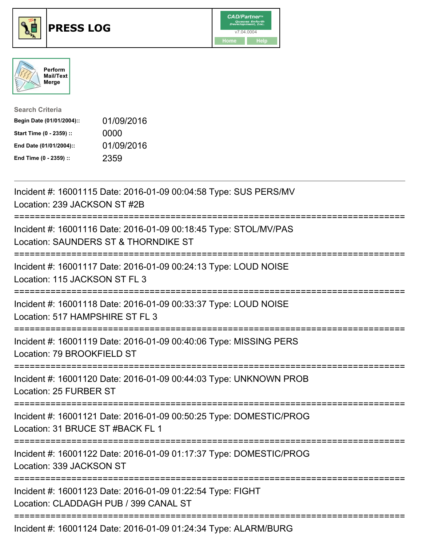





| <b>Search Criteria</b>    |            |
|---------------------------|------------|
| Begin Date (01/01/2004):: | 01/09/2016 |
| Start Time (0 - 2359) ::  | 0000       |
| End Date (01/01/2004)::   | 01/09/2016 |
| End Time (0 - 2359) ::    | 2359       |

| Incident #: 16001115 Date: 2016-01-09 00:04:58 Type: SUS PERS/MV<br>Location: 239 JACKSON ST #2B                                                             |
|--------------------------------------------------------------------------------------------------------------------------------------------------------------|
| Incident #: 16001116 Date: 2016-01-09 00:18:45 Type: STOL/MV/PAS<br>Location: SAUNDERS ST & THORNDIKE ST<br>-----------                                      |
| Incident #: 16001117 Date: 2016-01-09 00:24:13 Type: LOUD NOISE<br>Location: 115 JACKSON ST FL 3<br>:========================<br>=========================== |
| Incident #: 16001118 Date: 2016-01-09 00:33:37 Type: LOUD NOISE<br>Location: 517 HAMPSHIRE ST FL 3<br>=====================================                  |
| Incident #: 16001119 Date: 2016-01-09 00:40:06 Type: MISSING PERS<br>Location: 79 BROOKFIELD ST<br>:===================<br>------------------------------    |
| Incident #: 16001120 Date: 2016-01-09 00:44:03 Type: UNKNOWN PROB<br>Location: 25 FURBER ST                                                                  |
| Incident #: 16001121 Date: 2016-01-09 00:50:25 Type: DOMESTIC/PROG<br>Location: 31 BRUCE ST #BACK FL 1                                                       |
| Incident #: 16001122 Date: 2016-01-09 01:17:37 Type: DOMESTIC/PROG<br>Location: 339 JACKSON ST                                                               |
| Incident #: 16001123 Date: 2016-01-09 01:22:54 Type: FIGHT<br>Location: CLADDAGH PUB / 399 CANAL ST                                                          |
| Incident #: 16001124 Date: 2016-01-09 01:24:34 Type: ALARM/BURG                                                                                              |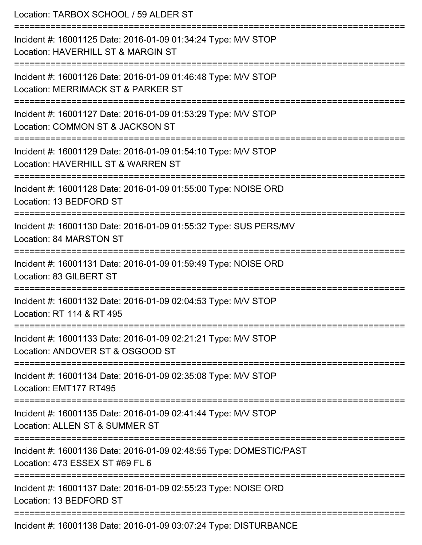| Location: TARBOX SCHOOL / 59 ALDER ST<br>==============================                                                      |
|------------------------------------------------------------------------------------------------------------------------------|
| Incident #: 16001125 Date: 2016-01-09 01:34:24 Type: M/V STOP<br>Location: HAVERHILL ST & MARGIN ST<br>:==================== |
| Incident #: 16001126 Date: 2016-01-09 01:46:48 Type: M/V STOP<br>Location: MERRIMACK ST & PARKER ST                          |
| Incident #: 16001127 Date: 2016-01-09 01:53:29 Type: M/V STOP<br>Location: COMMON ST & JACKSON ST                            |
| Incident #: 16001129 Date: 2016-01-09 01:54:10 Type: M/V STOP<br>Location: HAVERHILL ST & WARREN ST                          |
| Incident #: 16001128 Date: 2016-01-09 01:55:00 Type: NOISE ORD<br>Location: 13 BEDFORD ST                                    |
| Incident #: 16001130 Date: 2016-01-09 01:55:32 Type: SUS PERS/MV<br>Location: 84 MARSTON ST                                  |
| Incident #: 16001131 Date: 2016-01-09 01:59:49 Type: NOISE ORD<br>Location: 83 GILBERT ST                                    |
| Incident #: 16001132 Date: 2016-01-09 02:04:53 Type: M/V STOP<br>Location: RT 114 & RT 495                                   |
| Incident #: 16001133 Date: 2016-01-09 02:21:21 Type: M/V STOP<br>Location: ANDOVER ST & OSGOOD ST                            |
| Incident #: 16001134 Date: 2016-01-09 02:35:08 Type: M/V STOP<br>Location: EMT177 RT495                                      |
| Incident #: 16001135 Date: 2016-01-09 02:41:44 Type: M/V STOP<br>Location: ALLEN ST & SUMMER ST                              |
| Incident #: 16001136 Date: 2016-01-09 02:48:55 Type: DOMESTIC/PAST<br>Location: 473 ESSEX ST #69 FL 6                        |
| Incident #: 16001137 Date: 2016-01-09 02:55:23 Type: NOISE ORD<br>Location: 13 BEDFORD ST                                    |
| Incident #: 16001138 Date: 2016-01-09 03:07:24 Type: DISTURBANCE                                                             |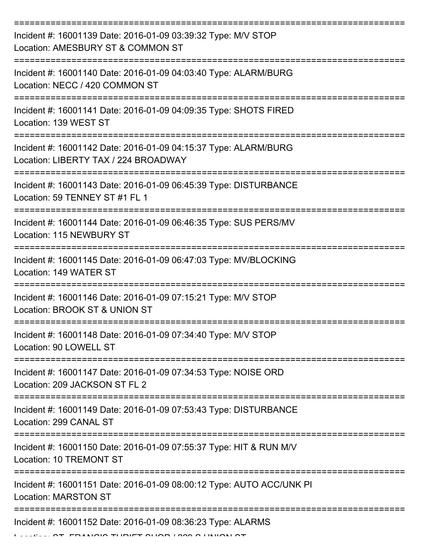| Incident #: 16001139 Date: 2016-01-09 03:39:32 Type: M/V STOP<br>Location: AMESBURY ST & COMMON ST      |
|---------------------------------------------------------------------------------------------------------|
| Incident #: 16001140 Date: 2016-01-09 04:03:40 Type: ALARM/BURG<br>Location: NECC / 420 COMMON ST       |
| Incident #: 16001141 Date: 2016-01-09 04:09:35 Type: SHOTS FIRED<br>Location: 139 WEST ST               |
| Incident #: 16001142 Date: 2016-01-09 04:15:37 Type: ALARM/BURG<br>Location: LIBERTY TAX / 224 BROADWAY |
| Incident #: 16001143 Date: 2016-01-09 06:45:39 Type: DISTURBANCE<br>Location: 59 TENNEY ST #1 FL 1      |
| Incident #: 16001144 Date: 2016-01-09 06:46:35 Type: SUS PERS/MV<br>Location: 115 NEWBURY ST            |
| Incident #: 16001145 Date: 2016-01-09 06:47:03 Type: MV/BLOCKING<br>Location: 149 WATER ST              |
| Incident #: 16001146 Date: 2016-01-09 07:15:21 Type: M/V STOP<br>Location: BROOK ST & UNION ST          |
| Incident #: 16001148 Date: 2016-01-09 07:34:40 Type: M/V STOP<br>Location: 90 LOWELL ST                 |
| Incident #: 16001147 Date: 2016-01-09 07:34:53 Type: NOISE ORD<br>Location: 209 JACKSON ST FL 2         |
| Incident #: 16001149 Date: 2016-01-09 07:53:43 Type: DISTURBANCE<br>Location: 299 CANAL ST              |
| Incident #: 16001150 Date: 2016-01-09 07:55:37 Type: HIT & RUN M/V<br><b>Location: 10 TREMONT ST</b>    |
| Incident #: 16001151 Date: 2016-01-09 08:00:12 Type: AUTO ACC/UNK PI<br><b>Location: MARSTON ST</b>     |
| Incident #: 16001152 Date: 2016-01-09 08:36:23 Type: ALARMS                                             |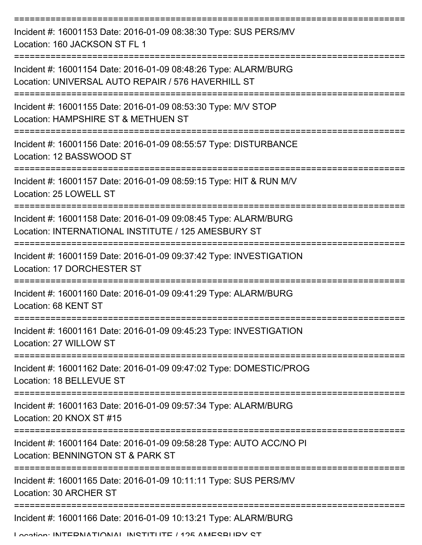| Incident #: 16001153 Date: 2016-01-09 08:38:30 Type: SUS PERS/MV<br>Location: 160 JACKSON ST FL 1                      |
|------------------------------------------------------------------------------------------------------------------------|
| Incident #: 16001154 Date: 2016-01-09 08:48:26 Type: ALARM/BURG<br>Location: UNIVERSAL AUTO REPAIR / 576 HAVERHILL ST  |
| Incident #: 16001155 Date: 2016-01-09 08:53:30 Type: M/V STOP<br>Location: HAMPSHIRE ST & METHUEN ST                   |
| Incident #: 16001156 Date: 2016-01-09 08:55:57 Type: DISTURBANCE<br>Location: 12 BASSWOOD ST                           |
| Incident #: 16001157 Date: 2016-01-09 08:59:15 Type: HIT & RUN M/V<br>Location: 25 LOWELL ST                           |
| Incident #: 16001158 Date: 2016-01-09 09:08:45 Type: ALARM/BURG<br>Location: INTERNATIONAL INSTITUTE / 125 AMESBURY ST |
| Incident #: 16001159 Date: 2016-01-09 09:37:42 Type: INVESTIGATION<br>Location: 17 DORCHESTER ST                       |
| Incident #: 16001160 Date: 2016-01-09 09:41:29 Type: ALARM/BURG<br>Location: 68 KENT ST                                |
| Incident #: 16001161 Date: 2016-01-09 09:45:23 Type: INVESTIGATION<br>Location: 27 WILLOW ST                           |
| ,,,,,,,,,,,,,,,,,,<br>Incident #: 16001162 Date: 2016-01-09 09:47:02 Type: DOMESTIC/PROG<br>Location: 18 BELLEVUE ST   |
| Incident #: 16001163 Date: 2016-01-09 09:57:34 Type: ALARM/BURG<br>Location: 20 KNOX ST #15                            |
| Incident #: 16001164 Date: 2016-01-09 09:58:28 Type: AUTO ACC/NO PI<br>Location: BENNINGTON ST & PARK ST               |
| Incident #: 16001165 Date: 2016-01-09 10:11:11 Type: SUS PERS/MV<br>Location: 30 ARCHER ST                             |
| Incident #: 16001166 Date: 2016-01-09 10:13:21 Type: ALARM/BURG                                                        |

Location: INITEDNIATIONIAL INSTITUTE / 125 AMESBURY ST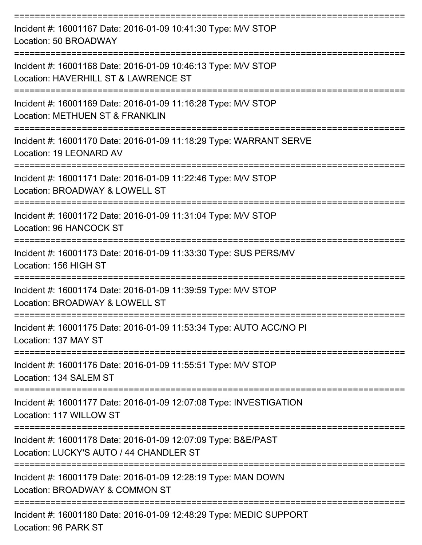| Incident #: 16001167 Date: 2016-01-09 10:41:30 Type: M/V STOP<br>Location: 50 BROADWAY                   |
|----------------------------------------------------------------------------------------------------------|
| Incident #: 16001168 Date: 2016-01-09 10:46:13 Type: M/V STOP<br>Location: HAVERHILL ST & LAWRENCE ST    |
| Incident #: 16001169 Date: 2016-01-09 11:16:28 Type: M/V STOP<br>Location: METHUEN ST & FRANKLIN         |
| Incident #: 16001170 Date: 2016-01-09 11:18:29 Type: WARRANT SERVE<br>Location: 19 LEONARD AV            |
| Incident #: 16001171 Date: 2016-01-09 11:22:46 Type: M/V STOP<br>Location: BROADWAY & LOWELL ST          |
| Incident #: 16001172 Date: 2016-01-09 11:31:04 Type: M/V STOP<br>Location: 96 HANCOCK ST                 |
| Incident #: 16001173 Date: 2016-01-09 11:33:30 Type: SUS PERS/MV<br>Location: 156 HIGH ST                |
| Incident #: 16001174 Date: 2016-01-09 11:39:59 Type: M/V STOP<br>Location: BROADWAY & LOWELL ST          |
| Incident #: 16001175 Date: 2016-01-09 11:53:34 Type: AUTO ACC/NO PI<br>Location: 137 MAY ST              |
| Incident #: 16001176 Date: 2016-01-09 11:55:51 Type: M/V STOP<br>Location: 134 SALEM ST                  |
| Incident #: 16001177 Date: 2016-01-09 12:07:08 Type: INVESTIGATION<br>Location: 117 WILLOW ST            |
| Incident #: 16001178 Date: 2016-01-09 12:07:09 Type: B&E/PAST<br>Location: LUCKY'S AUTO / 44 CHANDLER ST |
| Incident #: 16001179 Date: 2016-01-09 12:28:19 Type: MAN DOWN<br>Location: BROADWAY & COMMON ST          |
| Incident #: 16001180 Date: 2016-01-09 12:48:29 Type: MEDIC SUPPORT<br>Location: 96 PARK ST               |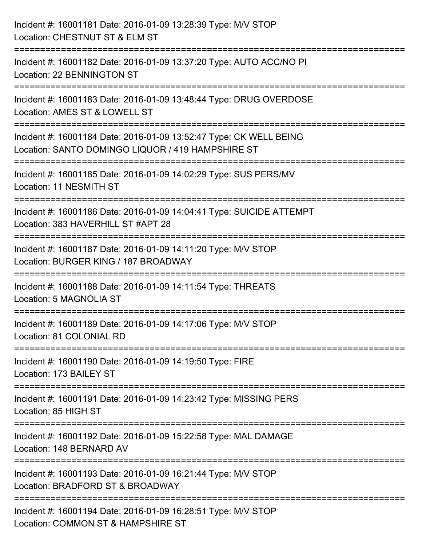| Incident #: 16001181 Date: 2016-01-09 13:28:39 Type: M/V STOP<br>Location: CHESTNUT ST & ELM ST                                                   |
|---------------------------------------------------------------------------------------------------------------------------------------------------|
| Incident #: 16001182 Date: 2016-01-09 13:37:20 Type: AUTO ACC/NO PI<br>Location: 22 BENNINGTON ST                                                 |
| Incident #: 16001183 Date: 2016-01-09 13:48:44 Type: DRUG OVERDOSE<br>Location: AMES ST & LOWELL ST                                               |
| Incident #: 16001184 Date: 2016-01-09 13:52:47 Type: CK WELL BEING<br>Location: SANTO DOMINGO LIQUOR / 419 HAMPSHIRE ST<br>---------------------- |
| Incident #: 16001185 Date: 2016-01-09 14:02:29 Type: SUS PERS/MV<br>Location: 11 NESMITH ST                                                       |
| Incident #: 16001186 Date: 2016-01-09 14:04:41 Type: SUICIDE ATTEMPT<br>Location: 383 HAVERHILL ST #APT 28                                        |
| Incident #: 16001187 Date: 2016-01-09 14:11:20 Type: M/V STOP<br>Location: BURGER KING / 187 BROADWAY                                             |
| Incident #: 16001188 Date: 2016-01-09 14:11:54 Type: THREATS<br>Location: 5 MAGNOLIA ST                                                           |
| Incident #: 16001189 Date: 2016-01-09 14:17:06 Type: M/V STOP<br>Location: 81 COLONIAL RD                                                         |
| Incident #: 16001190 Date: 2016-01-09 14:19:50 Type: FIRE<br>Location: 173 BAILEY ST                                                              |
| Incident #: 16001191 Date: 2016-01-09 14:23:42 Type: MISSING PERS<br>Location: 85 HIGH ST                                                         |
| Incident #: 16001192 Date: 2016-01-09 15:22:58 Type: MAL DAMAGE<br>Location: 148 BERNARD AV                                                       |
| Incident #: 16001193 Date: 2016-01-09 16:21:44 Type: M/V STOP<br>Location: BRADFORD ST & BROADWAY                                                 |
| Incident #: 16001194 Date: 2016-01-09 16:28:51 Type: M/V STOP<br>Location: COMMON ST & HAMPSHIRE ST                                               |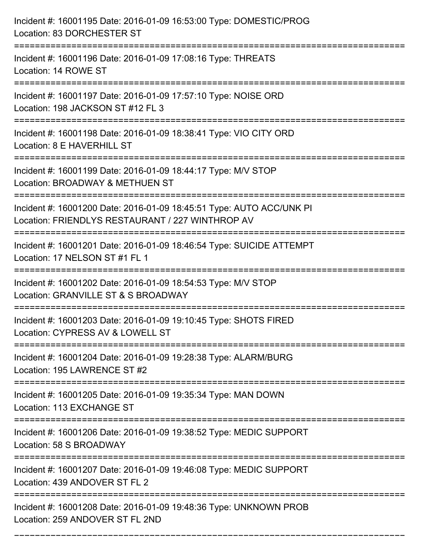| Incident #: 16001195 Date: 2016-01-09 16:53:00 Type: DOMESTIC/PROG<br>Location: 83 DORCHESTER ST                                              |
|-----------------------------------------------------------------------------------------------------------------------------------------------|
| :=====================<br>Incident #: 16001196 Date: 2016-01-09 17:08:16 Type: THREATS<br>Location: 14 ROWE ST                                |
| Incident #: 16001197 Date: 2016-01-09 17:57:10 Type: NOISE ORD<br>Location: 198 JACKSON ST #12 FL 3<br>=======================                |
| Incident #: 16001198 Date: 2016-01-09 18:38:41 Type: VIO CITY ORD<br>Location: 8 E HAVERHILL ST                                               |
| Incident #: 16001199 Date: 2016-01-09 18:44:17 Type: M/V STOP<br>Location: BROADWAY & METHUEN ST<br>:================================         |
| Incident #: 16001200 Date: 2016-01-09 18:45:51 Type: AUTO ACC/UNK PI<br>Location: FRIENDLYS RESTAURANT / 227 WINTHROP AV                      |
| Incident #: 16001201 Date: 2016-01-09 18:46:54 Type: SUICIDE ATTEMPT<br>Location: 17 NELSON ST #1 FL 1<br>:================================== |
| Incident #: 16001202 Date: 2016-01-09 18:54:53 Type: M/V STOP<br>Location: GRANVILLE ST & S BROADWAY                                          |
| Incident #: 16001203 Date: 2016-01-09 19:10:45 Type: SHOTS FIRED<br>Location: CYPRESS AV & LOWELL ST                                          |
| Incident #: 16001204 Date: 2016-01-09 19:28:38 Type: ALARM/BURG<br>Location: 195 LAWRENCE ST #2                                               |
| Incident #: 16001205 Date: 2016-01-09 19:35:34 Type: MAN DOWN<br>Location: 113 EXCHANGE ST                                                    |
| Incident #: 16001206 Date: 2016-01-09 19:38:52 Type: MEDIC SUPPORT<br>Location: 58 S BROADWAY                                                 |
| Incident #: 16001207 Date: 2016-01-09 19:46:08 Type: MEDIC SUPPORT<br>Location: 439 ANDOVER ST FL 2                                           |
| Incident #: 16001208 Date: 2016-01-09 19:48:36 Type: UNKNOWN PROB<br>Location: 259 ANDOVER ST FL 2ND                                          |

===========================================================================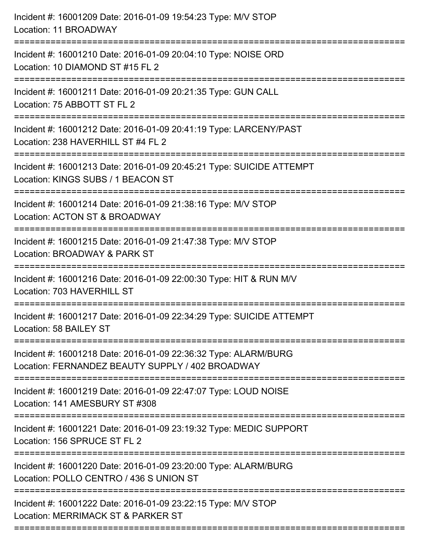| Incident #: 16001209 Date: 2016-01-09 19:54:23 Type: M/V STOP<br>Location: 11 BROADWAY                                               |
|--------------------------------------------------------------------------------------------------------------------------------------|
| Incident #: 16001210 Date: 2016-01-09 20:04:10 Type: NOISE ORD<br>Location: 10 DIAMOND ST #15 FL 2                                   |
| Incident #: 16001211 Date: 2016-01-09 20:21:35 Type: GUN CALL<br>Location: 75 ABBOTT ST FL 2<br>===========================          |
| Incident #: 16001212 Date: 2016-01-09 20:41:19 Type: LARCENY/PAST<br>Location: 238 HAVERHILL ST #4 FL 2                              |
| Incident #: 16001213 Date: 2016-01-09 20:45:21 Type: SUICIDE ATTEMPT<br>Location: KINGS SUBS / 1 BEACON ST<br>:==================    |
| Incident #: 16001214 Date: 2016-01-09 21:38:16 Type: M/V STOP<br>Location: ACTON ST & BROADWAY<br>=========================          |
| Incident #: 16001215 Date: 2016-01-09 21:47:38 Type: M/V STOP<br>Location: BROADWAY & PARK ST<br>=================================== |
| Incident #: 16001216 Date: 2016-01-09 22:00:30 Type: HIT & RUN M/V<br>Location: 703 HAVERHILL ST                                     |
| Incident #: 16001217 Date: 2016-01-09 22:34:29 Type: SUICIDE ATTEMPT<br>Location: 58 BAILEY ST                                       |
| Incident #: 16001218 Date: 2016-01-09 22:36:32 Type: ALARM/BURG<br>Location: FERNANDEZ BEAUTY SUPPLY / 402 BROADWAY                  |
| Incident #: 16001219 Date: 2016-01-09 22:47:07 Type: LOUD NOISE<br>Location: 141 AMESBURY ST #308                                    |
| Incident #: 16001221 Date: 2016-01-09 23:19:32 Type: MEDIC SUPPORT<br>Location: 156 SPRUCE ST FL 2                                   |
| Incident #: 16001220 Date: 2016-01-09 23:20:00 Type: ALARM/BURG<br>Location: POLLO CENTRO / 436 S UNION ST                           |
| Incident #: 16001222 Date: 2016-01-09 23:22:15 Type: M/V STOP<br>Location: MERRIMACK ST & PARKER ST                                  |